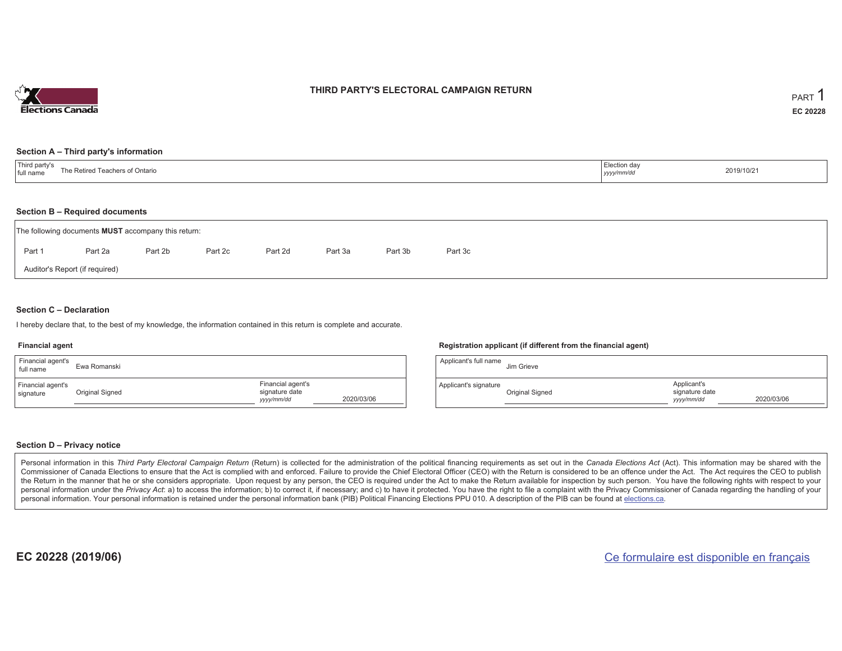

## **THIRD PARTY'S ELECTORAL CAMPAIGN RETURN**

#### **Section A – Third party's information**

| <sup>'</sup> Third party s<br>The Retireo<br>Teachers of Ontario<br>I full name | Election day<br>2019/10/21<br>уууулттус |  |
|---------------------------------------------------------------------------------|-----------------------------------------|--|
|---------------------------------------------------------------------------------|-----------------------------------------|--|

#### **Section B – Required documents**

|        | The following documents <b>MUST</b> accompany this return: |         |         |         |         |         |         |  |
|--------|------------------------------------------------------------|---------|---------|---------|---------|---------|---------|--|
| Part 1 | Part 2a                                                    | Part 2b | Part 2c | Part 2d | Part 3a | Part 3b | Part 3c |  |
|        | Auditor's Report (if required)                             |         |         |         |         |         |         |  |

### **Section C – Declaration**

I hereby declare that, to the best of my knowledge, the information contained in this return is complete and accurate.

#### **Financial agent**

| Financial agent's<br>full name | Ewa Romanski    |                                                   |            |
|--------------------------------|-----------------|---------------------------------------------------|------------|
| Financial agent's<br>signature | Original Signed | Financial agent's<br>signature date<br>yyyy/mm/dd | 2020/03/06 |

#### **Registration applicant (if different from the financial agent)**

| Applicant's full name | Jim Grieve      |                                             |            |
|-----------------------|-----------------|---------------------------------------------|------------|
| Applicant's signature | Original Signed | Applicant's<br>signature date<br>yyyy/mm/dd | 2020/03/06 |

#### **Section D – Privacy notice**

Personal information in this Third Party Electoral Campaign Return (Return) is collected for the administration of the political financing requirements as set out in the Canada Elections Act (Act). This information may be Commissioner of Canada Elections to ensure that the Act is complied with and enforced. Failure to provide the Chief Electoral Officer (CEO) with the Return is considered to be an offence under the Act. The Act requires the the Return in the manner that he or she considers appropriate. Upon request by any person, the CEO is required under the Act to make the Return available for inspection by such person. You have the following rights with re personal information under the Privacy Act: a) to access the information; b) to correct it, if necessary; and c) to have it protected. You have the right to file a complaint with the Privacy Commissioner of Canada regardin personal information. Your personal information is retained under the personal information bank (PIB) Political Financing Elections PPU 010. A description of the PIB can be found at elections.ca.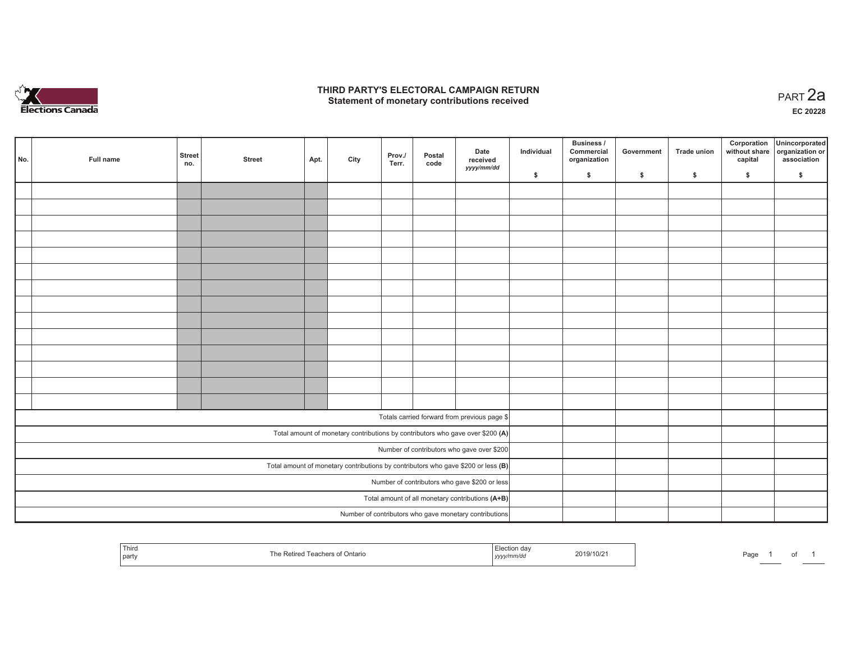

## **THIRD PARTY'S ELECTORAL CAMPAIGN RETURN HIRD PARTY'S ELECTORAL CAMPAIGN RETURN<br>Statement of monetary contributions received PART 2a**

**EC 20228**

| No. |                                                                                     | Full name | <b>Street</b><br>no.                          | <b>Street</b> | Apt. | City | Prov./<br>Terr. | Postal<br>code | Date<br>received<br>yyyy/mm/dd                         | Individual | <b>Business /</b><br>Commercial<br>organization | Government | Trade union | Corporation<br>capital | Unincorporated<br>without share organization or<br>association |
|-----|-------------------------------------------------------------------------------------|-----------|-----------------------------------------------|---------------|------|------|-----------------|----------------|--------------------------------------------------------|------------|-------------------------------------------------|------------|-------------|------------------------|----------------------------------------------------------------|
|     |                                                                                     |           |                                               |               |      |      |                 |                |                                                        | \$         | \$                                              | \$         | \$          | \$                     | \$                                                             |
|     |                                                                                     |           |                                               |               |      |      |                 |                |                                                        |            |                                                 |            |             |                        |                                                                |
|     |                                                                                     |           |                                               |               |      |      |                 |                |                                                        |            |                                                 |            |             |                        |                                                                |
|     |                                                                                     |           |                                               |               |      |      |                 |                |                                                        |            |                                                 |            |             |                        |                                                                |
|     |                                                                                     |           |                                               |               |      |      |                 |                |                                                        |            |                                                 |            |             |                        |                                                                |
|     |                                                                                     |           |                                               |               |      |      |                 |                |                                                        |            |                                                 |            |             |                        |                                                                |
|     |                                                                                     |           |                                               |               |      |      |                 |                |                                                        |            |                                                 |            |             |                        |                                                                |
|     |                                                                                     |           |                                               |               |      |      |                 |                |                                                        |            |                                                 |            |             |                        |                                                                |
|     |                                                                                     |           |                                               |               |      |      |                 |                |                                                        |            |                                                 |            |             |                        |                                                                |
|     |                                                                                     |           |                                               |               |      |      |                 |                |                                                        |            |                                                 |            |             |                        |                                                                |
|     |                                                                                     |           |                                               |               |      |      |                 |                |                                                        |            |                                                 |            |             |                        |                                                                |
|     |                                                                                     |           |                                               |               |      |      |                 |                |                                                        |            |                                                 |            |             |                        |                                                                |
|     |                                                                                     |           |                                               |               |      |      |                 |                |                                                        |            |                                                 |            |             |                        |                                                                |
|     |                                                                                     |           |                                               |               |      |      |                 |                |                                                        |            |                                                 |            |             |                        |                                                                |
|     |                                                                                     |           |                                               |               |      |      |                 |                |                                                        |            |                                                 |            |             |                        |                                                                |
|     |                                                                                     |           |                                               |               |      |      |                 |                |                                                        |            |                                                 |            |             |                        |                                                                |
|     |                                                                                     |           |                                               |               |      |      |                 |                | Totals carried forward from previous page \$           |            |                                                 |            |             |                        |                                                                |
|     | Total amount of monetary contributions by contributors who gave over \$200 (A)      |           |                                               |               |      |      |                 |                |                                                        |            |                                                 |            |             |                        |                                                                |
|     | Number of contributors who gave over \$200                                          |           |                                               |               |      |      |                 |                |                                                        |            |                                                 |            |             |                        |                                                                |
|     | Total amount of monetary contributions by contributors who gave \$200 or less $(B)$ |           |                                               |               |      |      |                 |                |                                                        |            |                                                 |            |             |                        |                                                                |
|     |                                                                                     |           | Number of contributors who gave \$200 or less |               |      |      |                 |                |                                                        |            |                                                 |            |             |                        |                                                                |
|     |                                                                                     |           |                                               |               |      |      |                 |                | Total amount of all monetary contributions (A+B)       |            |                                                 |            |             |                        |                                                                |
|     |                                                                                     |           |                                               |               |      |      |                 |                | Number of contributors who gave monetary contributions |            |                                                 |            |             |                        |                                                                |

| Third<br><b>STATISTICS</b><br>  part | chers of Ontario<br>, <i>yyyy</i> | `dลง<br>2019/10/2 | Page |  |  |  |
|--------------------------------------|-----------------------------------|-------------------|------|--|--|--|
|--------------------------------------|-----------------------------------|-------------------|------|--|--|--|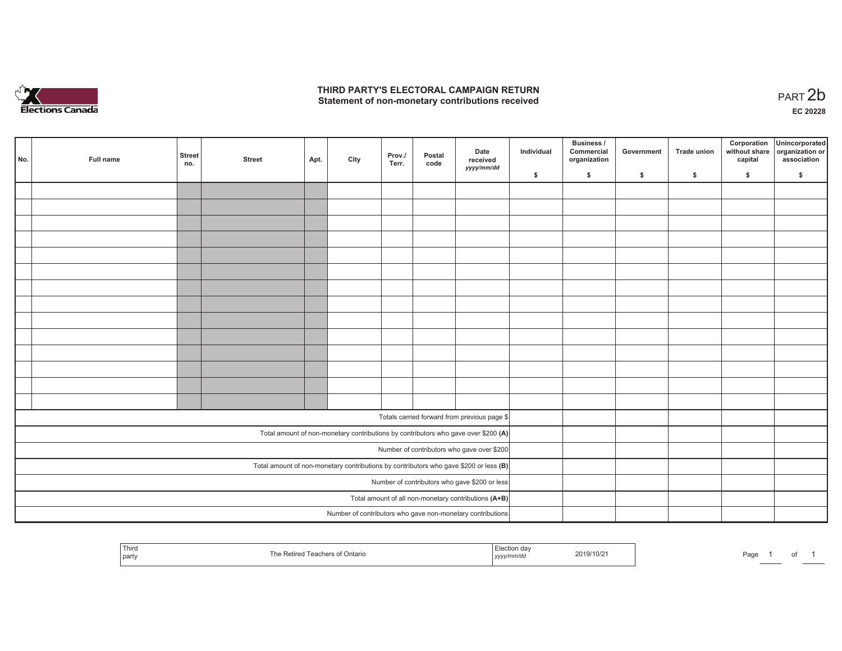

## **THIRD PARTY'S ELECTORAL CAMPAIGN RETURN**  THIRD PARTY'S ELECTORAL CAMPAIGN RETURN<br>Statement of non-monetary contributions received

1 of 1

| No.                                                                                     | Full name | <b>Street</b><br>no.                          | <b>Street</b> | Apt. | City | Prov./<br>Terr. | Postal<br>code | Date<br>received<br>yyyy/mm/dd                                                     | Individual | <b>Business /</b><br>Commercial<br>organization | Government | Trade union | Corporation<br>capital | Unincorporated<br>without share organization or<br>association |
|-----------------------------------------------------------------------------------------|-----------|-----------------------------------------------|---------------|------|------|-----------------|----------------|------------------------------------------------------------------------------------|------------|-------------------------------------------------|------------|-------------|------------------------|----------------------------------------------------------------|
|                                                                                         |           |                                               |               |      |      |                 |                |                                                                                    | \$         | \$                                              | \$         | \$          | \$                     | \$                                                             |
|                                                                                         |           |                                               |               |      |      |                 |                |                                                                                    |            |                                                 |            |             |                        |                                                                |
|                                                                                         |           |                                               |               |      |      |                 |                |                                                                                    |            |                                                 |            |             |                        |                                                                |
|                                                                                         |           |                                               |               |      |      |                 |                |                                                                                    |            |                                                 |            |             |                        |                                                                |
|                                                                                         |           |                                               |               |      |      |                 |                |                                                                                    |            |                                                 |            |             |                        |                                                                |
|                                                                                         |           |                                               |               |      |      |                 |                |                                                                                    |            |                                                 |            |             |                        |                                                                |
|                                                                                         |           |                                               |               |      |      |                 |                |                                                                                    |            |                                                 |            |             |                        |                                                                |
|                                                                                         |           |                                               |               |      |      |                 |                |                                                                                    |            |                                                 |            |             |                        |                                                                |
|                                                                                         |           |                                               |               |      |      |                 |                |                                                                                    |            |                                                 |            |             |                        |                                                                |
|                                                                                         |           |                                               |               |      |      |                 |                |                                                                                    |            |                                                 |            |             |                        |                                                                |
|                                                                                         |           |                                               |               |      |      |                 |                |                                                                                    |            |                                                 |            |             |                        |                                                                |
|                                                                                         |           |                                               |               |      |      |                 |                |                                                                                    |            |                                                 |            |             |                        |                                                                |
|                                                                                         |           |                                               |               |      |      |                 |                |                                                                                    |            |                                                 |            |             |                        |                                                                |
|                                                                                         |           |                                               |               |      |      |                 |                |                                                                                    |            |                                                 |            |             |                        |                                                                |
|                                                                                         |           |                                               |               |      |      |                 |                |                                                                                    |            |                                                 |            |             |                        |                                                                |
|                                                                                         |           |                                               |               |      |      |                 |                | Totals carried forward from previous page \$                                       |            |                                                 |            |             |                        |                                                                |
|                                                                                         |           |                                               |               |      |      |                 |                |                                                                                    |            |                                                 |            |             |                        |                                                                |
|                                                                                         |           |                                               |               |      |      |                 |                | Total amount of non-monetary contributions by contributors who gave over \$200 (A) |            |                                                 |            |             |                        |                                                                |
|                                                                                         |           |                                               |               |      |      |                 |                | Number of contributors who gave over \$200                                         |            |                                                 |            |             |                        |                                                                |
| Total amount of non-monetary contributions by contributors who gave \$200 or less $(B)$ |           |                                               |               |      |      |                 |                |                                                                                    |            |                                                 |            |             |                        |                                                                |
|                                                                                         |           | Number of contributors who gave \$200 or less |               |      |      |                 |                |                                                                                    |            |                                                 |            |             |                        |                                                                |
|                                                                                         |           |                                               |               |      |      |                 |                | Total amount of all non-monetary contributions (A+B)                               |            |                                                 |            |             |                        |                                                                |
|                                                                                         |           |                                               |               |      |      |                 |                | Number of contributors who gave non-monetary contributions                         |            |                                                 |            |             |                        |                                                                |

| $\overline{\phantom{a}}$<br>Thiro<br>ua<br>19/10/2<br>Ontario<br>, party<br>11 I/ UN<br>. <i>.</i> . | Page |
|------------------------------------------------------------------------------------------------------|------|
|------------------------------------------------------------------------------------------------------|------|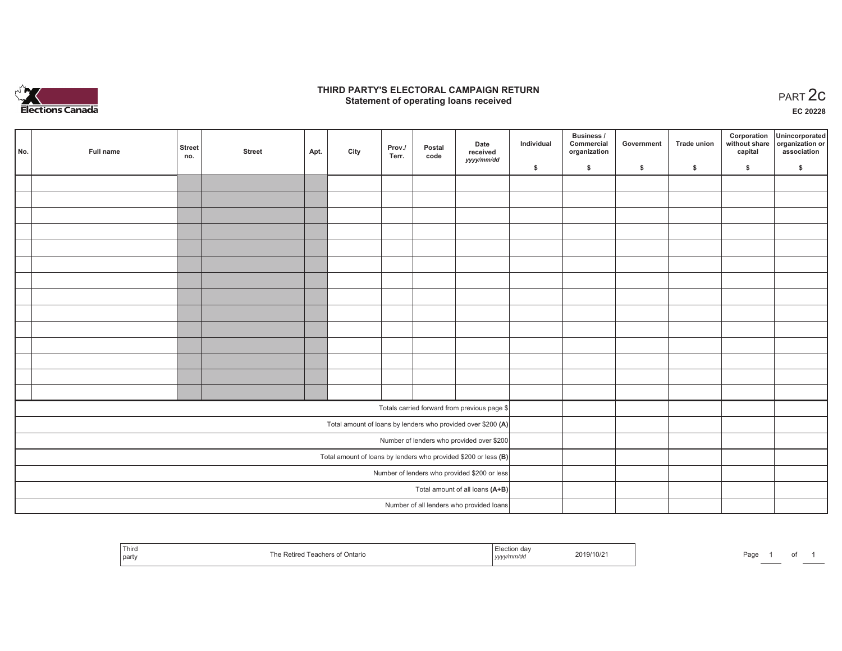

## **THIRD PARTY'S ELECTORAL CAMPAIGN RETURN STATE:** PERSON SELECTORAL CAMPAIGN RETURN<br>
Statement of operating loans received

**EC 20228**

| No. | Full name | <b>Street</b><br>no.                                              | <b>Street</b> | Apt. | City | Prov./<br>Terr. | Postal<br>code | Date<br>received                                             | Individual | <b>Business /</b><br>Commercial<br>organization | Government | Trade union | Corporation<br>capital | Unincorporated<br>without share organization or<br>association |
|-----|-----------|-------------------------------------------------------------------|---------------|------|------|-----------------|----------------|--------------------------------------------------------------|------------|-------------------------------------------------|------------|-------------|------------------------|----------------------------------------------------------------|
|     |           |                                                                   |               |      |      |                 |                | yyyy/mm/dd                                                   | \$         | \$                                              | \$         | \$          | \$                     | \$                                                             |
|     |           |                                                                   |               |      |      |                 |                |                                                              |            |                                                 |            |             |                        |                                                                |
|     |           |                                                                   |               |      |      |                 |                |                                                              |            |                                                 |            |             |                        |                                                                |
|     |           |                                                                   |               |      |      |                 |                |                                                              |            |                                                 |            |             |                        |                                                                |
|     |           |                                                                   |               |      |      |                 |                |                                                              |            |                                                 |            |             |                        |                                                                |
|     |           |                                                                   |               |      |      |                 |                |                                                              |            |                                                 |            |             |                        |                                                                |
|     |           |                                                                   |               |      |      |                 |                |                                                              |            |                                                 |            |             |                        |                                                                |
|     |           |                                                                   |               |      |      |                 |                |                                                              |            |                                                 |            |             |                        |                                                                |
|     |           |                                                                   |               |      |      |                 |                |                                                              |            |                                                 |            |             |                        |                                                                |
|     |           |                                                                   |               |      |      |                 |                |                                                              |            |                                                 |            |             |                        |                                                                |
|     |           |                                                                   |               |      |      |                 |                |                                                              |            |                                                 |            |             |                        |                                                                |
|     |           |                                                                   |               |      |      |                 |                |                                                              |            |                                                 |            |             |                        |                                                                |
|     |           |                                                                   |               |      |      |                 |                |                                                              |            |                                                 |            |             |                        |                                                                |
|     |           |                                                                   |               |      |      |                 |                |                                                              |            |                                                 |            |             |                        |                                                                |
|     |           |                                                                   |               |      |      |                 |                |                                                              |            |                                                 |            |             |                        |                                                                |
|     |           |                                                                   |               |      |      |                 |                | Totals carried forward from previous page \$                 |            |                                                 |            |             |                        |                                                                |
|     |           |                                                                   |               |      |      |                 |                | Total amount of loans by lenders who provided over \$200 (A) |            |                                                 |            |             |                        |                                                                |
|     |           | Number of lenders who provided over \$200                         |               |      |      |                 |                |                                                              |            |                                                 |            |             |                        |                                                                |
|     |           | Total amount of loans by lenders who provided \$200 or less $(B)$ |               |      |      |                 |                |                                                              |            |                                                 |            |             |                        |                                                                |
|     |           | Number of lenders who provided \$200 or less                      |               |      |      |                 |                |                                                              |            |                                                 |            |             |                        |                                                                |
|     |           |                                                                   |               |      |      |                 |                | Total amount of all loans (A+B)                              |            |                                                 |            |             |                        |                                                                |
|     |           |                                                                   |               |      |      |                 |                | Number of all lenders who provided loans                     |            |                                                 |            |             |                        |                                                                |

| Third<br>  party | Teachers of Ontario | ′ ection∟<br>ua,<br>yyyy/mm/aa | 2019/10/2 | Page |  |  |  |
|------------------|---------------------|--------------------------------|-----------|------|--|--|--|
|------------------|---------------------|--------------------------------|-----------|------|--|--|--|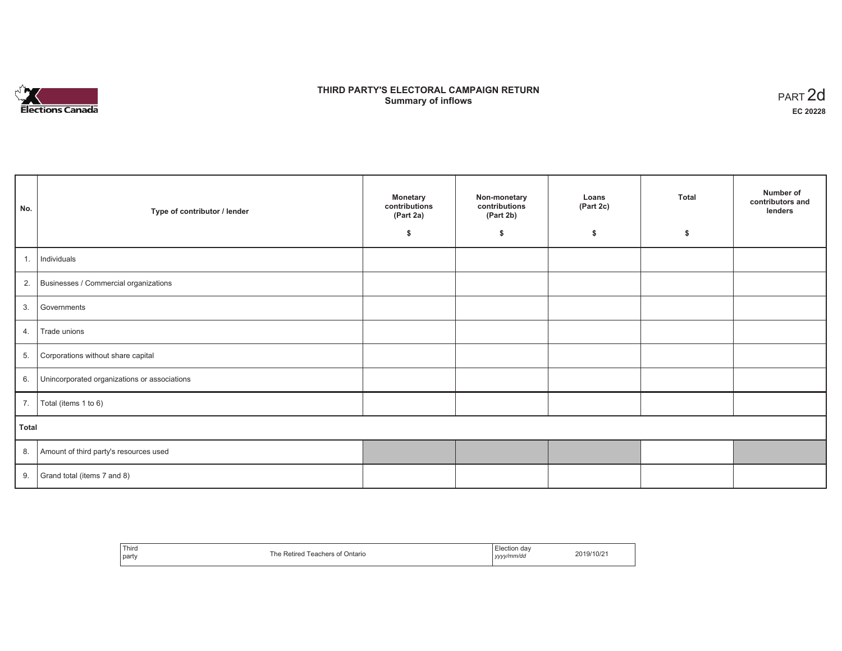

# **THIRD PARTY'S ELECTORAL CAMPAIGN RETURN S** ELECTORAL CAMPAIGN RETURN<br>Summary of inflows PART 2d

| No.   | Type of contributor / lender                    | <b>Monetary</b><br>contributions<br>(Part 2a) | Non-monetary<br>contributions<br>(Part 2b) | Loans<br>(Part 2c) | <b>Total</b> | Number of<br>contributors and<br>lenders |
|-------|-------------------------------------------------|-----------------------------------------------|--------------------------------------------|--------------------|--------------|------------------------------------------|
|       |                                                 | \$                                            | \$                                         | \$                 | \$           |                                          |
| 1.    | Individuals                                     |                                               |                                            |                    |              |                                          |
|       | 2. Businesses / Commercial organizations        |                                               |                                            |                    |              |                                          |
| 3.    | Governments                                     |                                               |                                            |                    |              |                                          |
| 4.    | Trade unions                                    |                                               |                                            |                    |              |                                          |
| 5.    | Corporations without share capital              |                                               |                                            |                    |              |                                          |
|       | 6. Unincorporated organizations or associations |                                               |                                            |                    |              |                                          |
|       | 7. $\boxed{\text{Total (items 1 to 6)}}$        |                                               |                                            |                    |              |                                          |
| Total |                                                 |                                               |                                            |                    |              |                                          |
|       | 8. Amount of third party's resources used       |                                               |                                            |                    |              |                                          |
|       | 9. Grand total (items $7$ and $8$ )             |                                               |                                            |                    |              |                                          |

| Third<br>party<br>the contract of the con- | `he<br>Ontario<br>ı cu | ⊟lection dav<br>vyyy/mm/do<br>,,,, | 2019/10/2 |
|--------------------------------------------|------------------------|------------------------------------|-----------|
|--------------------------------------------|------------------------|------------------------------------|-----------|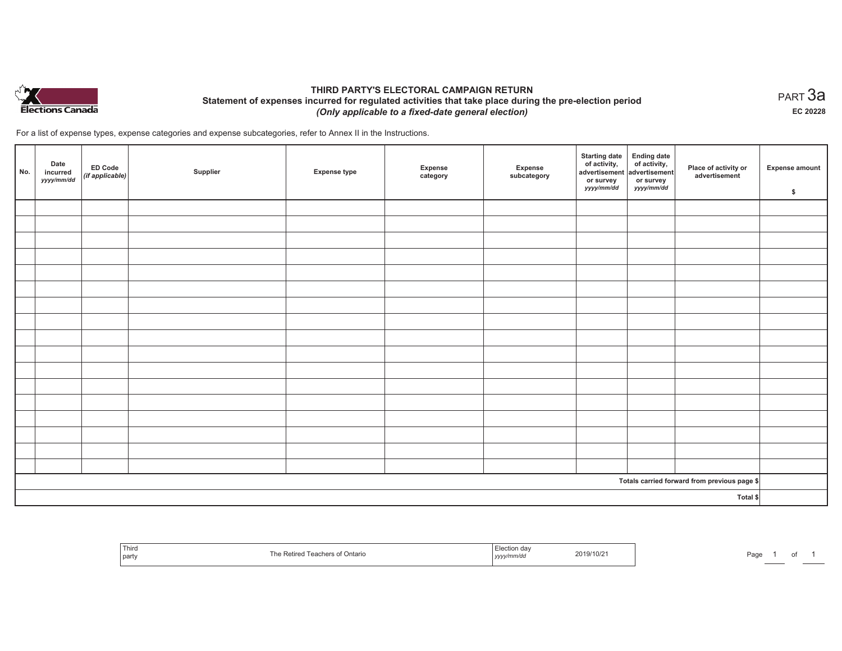

## **THIRD PARTY'S ELECTORAL CAMPAIGN RETURN Statement of expenses incurred for regulated activities that take place during the pre-election period**  *(Only applicable to a fixed-date general election)*

For a list of expense types, expense categories and expense subcategories, refer to Annex II in the Instructions.

| No. | Date<br>incurred<br>yyyy/mm/dd | ED Code<br>$($ if applicable $)$ | Supplier | <b>Expense type</b> | Expense<br>category | Expense<br>subcategory | Starting date Ending date<br>of activity, of activity,<br>advertisement advertisement<br>or survey<br>yyyy/mm/dd | or survey<br>yyyy/mm/dd | Place of activity or<br>advertisement        | <b>Expense amount</b><br>\$ |
|-----|--------------------------------|----------------------------------|----------|---------------------|---------------------|------------------------|------------------------------------------------------------------------------------------------------------------|-------------------------|----------------------------------------------|-----------------------------|
|     |                                |                                  |          |                     |                     |                        |                                                                                                                  |                         |                                              |                             |
|     |                                |                                  |          |                     |                     |                        |                                                                                                                  |                         |                                              |                             |
|     |                                |                                  |          |                     |                     |                        |                                                                                                                  |                         |                                              |                             |
|     |                                |                                  |          |                     |                     |                        |                                                                                                                  |                         |                                              |                             |
|     |                                |                                  |          |                     |                     |                        |                                                                                                                  |                         |                                              |                             |
|     |                                |                                  |          |                     |                     |                        |                                                                                                                  |                         |                                              |                             |
|     |                                |                                  |          |                     |                     |                        |                                                                                                                  |                         |                                              |                             |
|     |                                |                                  |          |                     |                     |                        |                                                                                                                  |                         |                                              |                             |
|     |                                |                                  |          |                     |                     |                        |                                                                                                                  |                         |                                              |                             |
|     |                                |                                  |          |                     |                     |                        |                                                                                                                  |                         |                                              |                             |
|     |                                |                                  |          |                     |                     |                        |                                                                                                                  |                         |                                              |                             |
|     |                                |                                  |          |                     |                     |                        |                                                                                                                  |                         |                                              |                             |
|     |                                |                                  |          |                     |                     |                        |                                                                                                                  |                         |                                              |                             |
|     |                                |                                  |          |                     |                     |                        |                                                                                                                  |                         |                                              |                             |
|     |                                |                                  |          |                     |                     |                        |                                                                                                                  |                         |                                              |                             |
|     |                                |                                  |          |                     |                     |                        |                                                                                                                  |                         |                                              |                             |
|     |                                |                                  |          |                     |                     |                        |                                                                                                                  |                         |                                              |                             |
|     |                                |                                  |          |                     |                     |                        |                                                                                                                  |                         | Totals carried forward from previous page \$ |                             |
|     |                                |                                  |          |                     |                     |                        |                                                                                                                  |                         | Total \$                                     |                             |

| Third<br>  party | Ontario<br>Ret. | yyyyınınvuu | າ19/10/21<br>2019/ | ⊃ag⊾ |  |  |  |
|------------------|-----------------|-------------|--------------------|------|--|--|--|
|------------------|-----------------|-------------|--------------------|------|--|--|--|

 $_{\sf PART}$ 3a **EC 20228**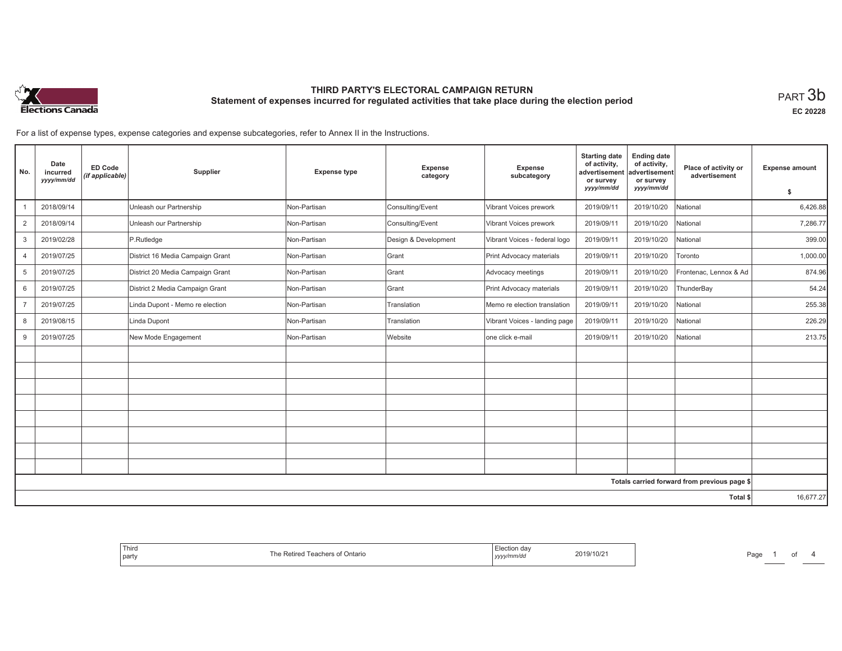

**EC 20228**

For a list of expense types, expense categories and expense subcategories, refer to Annex II in the Instructions.

| No.            | Date<br>incurred<br>yyyy/mm/dd | <b>ED Code</b><br>(if applicable) | Supplier                         | <b>Expense type</b> | Expense<br>category  | Expense<br>subcategory        | <b>Starting date</b><br>of activity,<br>advertisement<br>or survey | <b>Ending date</b><br>of activity,<br>advertisement<br>or survey | Place of activity or<br>advertisement        | <b>Expense amount</b> |
|----------------|--------------------------------|-----------------------------------|----------------------------------|---------------------|----------------------|-------------------------------|--------------------------------------------------------------------|------------------------------------------------------------------|----------------------------------------------|-----------------------|
|                |                                |                                   |                                  |                     |                      |                               | yyyy/mm/dd                                                         | yyyy/mm/dd                                                       |                                              | \$                    |
|                | 2018/09/14                     |                                   | Unleash our Partnership          | Non-Partisan        | Consulting/Event     | Vibrant Voices prework        | 2019/09/11                                                         | 2019/10/20                                                       | National                                     | 6,426.88              |
| $\overline{2}$ | 2018/09/14                     |                                   | Unleash our Partnership          | Non-Partisan        | Consulting/Event     | Vibrant Voices prework        | 2019/09/11                                                         | 2019/10/20                                                       | National                                     | 7,286.77              |
| 3              | 2019/02/28                     |                                   | P.Rutledge                       | Non-Partisan        | Design & Development | Vibrant Voices - federal logo | 2019/09/11                                                         | 2019/10/20                                                       | National                                     | 399.00                |
| $\overline{4}$ | 2019/07/25                     |                                   | District 16 Media Campaign Grant | Non-Partisan        | Grant                | Print Advocacy materials      | 2019/09/11                                                         | 2019/10/20                                                       | Toronto                                      | 1,000.00              |
| 5              | 2019/07/25                     |                                   | District 20 Media Campaign Grant | Non-Partisan        | Grant                | Advocacy meetings             | 2019/09/11                                                         | 2019/10/20                                                       | Frontenac, Lennox & Ad                       | 874.96                |
| 6              | 2019/07/25                     |                                   | District 2 Media Campaign Grant  | Non-Partisan        | Grant                | Print Advocacy materials      | 2019/09/11                                                         | 2019/10/20                                                       | ThunderBay                                   | 54.24                 |
| $\overline{7}$ | 2019/07/25                     |                                   | Linda Dupont - Memo re election  | Non-Partisan        | Translation          | Memo re election translation  | 2019/09/11                                                         | 2019/10/20                                                       | National                                     | 255.38                |
| 8              | 2019/08/15                     |                                   | Linda Dupont                     | Non-Partisan        | Translation          | Vibrant Voices - landing page | 2019/09/11                                                         | 2019/10/20                                                       | National                                     | 226.29                |
| 9              | 2019/07/25                     |                                   | New Mode Engagement              | Non-Partisan        | Website              | one click e-mail              | 2019/09/11                                                         | 2019/10/20                                                       | National                                     | 213.75                |
|                |                                |                                   |                                  |                     |                      |                               |                                                                    |                                                                  |                                              |                       |
|                |                                |                                   |                                  |                     |                      |                               |                                                                    |                                                                  |                                              |                       |
|                |                                |                                   |                                  |                     |                      |                               |                                                                    |                                                                  |                                              |                       |
|                |                                |                                   |                                  |                     |                      |                               |                                                                    |                                                                  |                                              |                       |
|                |                                |                                   |                                  |                     |                      |                               |                                                                    |                                                                  |                                              |                       |
|                |                                |                                   |                                  |                     |                      |                               |                                                                    |                                                                  |                                              |                       |
|                |                                |                                   |                                  |                     |                      |                               |                                                                    |                                                                  |                                              |                       |
|                |                                |                                   |                                  |                     |                      |                               |                                                                    |                                                                  |                                              |                       |
|                |                                |                                   |                                  |                     |                      |                               |                                                                    |                                                                  | Totals carried forward from previous page \$ |                       |
|                |                                |                                   |                                  |                     |                      |                               |                                                                    |                                                                  | Total \$                                     | 16,677.27             |

| 2019/10/21<br>f Ontario<br>محم،<br>ners .<br>ca.<br>  yyyy/mm/dd |  |  |
|------------------------------------------------------------------|--|--|
|------------------------------------------------------------------|--|--|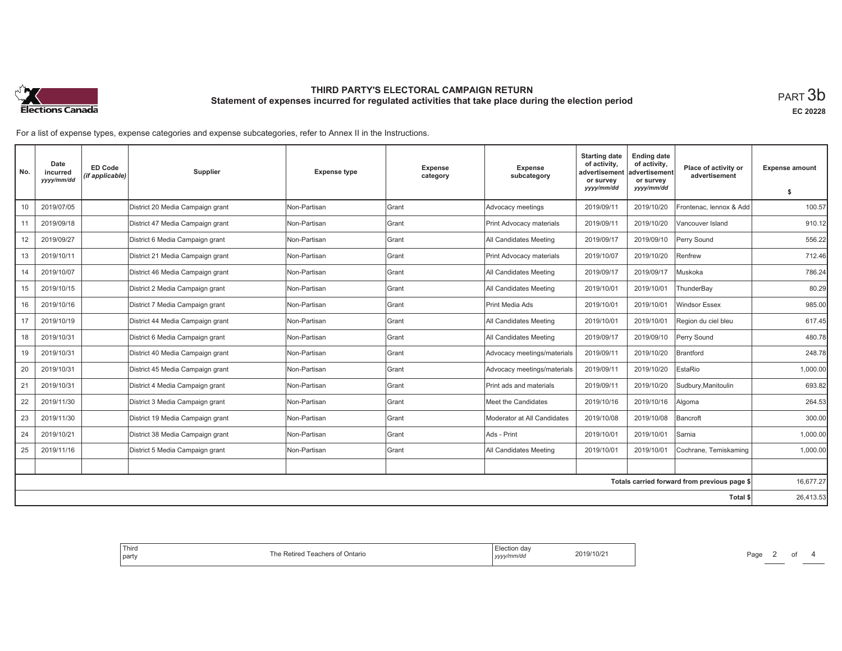

**EC 20228**

For a list of expense types, expense categories and expense subcategories, refer to Annex II in the Instructions.

| No. | Date<br>incurred<br>yyyy/mm/dd | <b>ED Code</b><br>(if applicable) | Supplier                         | <b>Expense type</b> | <b>Expense</b><br>category | Expense<br>subcategory      | <b>Starting date</b><br>of activity,<br>advertisement<br>or survey | <b>Ending date</b><br>of activity,<br>advertisement<br>or survey | Place of activity or<br>advertisement        | <b>Expense amount</b> |
|-----|--------------------------------|-----------------------------------|----------------------------------|---------------------|----------------------------|-----------------------------|--------------------------------------------------------------------|------------------------------------------------------------------|----------------------------------------------|-----------------------|
|     |                                |                                   |                                  |                     |                            |                             | yyyy/mm/dd                                                         | yyyy/mm/dd                                                       |                                              | -S                    |
| 10  | 2019/07/05                     |                                   | District 20 Media Campaign grant | Non-Partisan        | <b>S</b> rant              | Advocacy meetings           | 2019/09/11                                                         | 2019/10/20                                                       | Frontenac, lennox & Add                      | 100.57                |
| 11  | 2019/09/18                     |                                   | District 47 Media Campaign grant | Non-Partisan        | <b>Grant</b>               | Print Advocacy materials    | 2019/09/11                                                         | 2019/10/20                                                       | Vancouver Island                             | 910.12                |
| 12  | 2019/09/27                     |                                   | District 6 Media Campaign grant  | Non-Partisan        | <b>Grant</b>               | All Candidates Meeting      | 2019/09/17                                                         | 2019/09/10                                                       | Perry Sound                                  | 556.22                |
| 13  | 2019/10/11                     |                                   | District 21 Media Campaign grant | Non-Partisan        | Grant                      | Print Advocacy materials    | 2019/10/07                                                         | 2019/10/20                                                       | Renfrew                                      | 712.46                |
| 14  | 2019/10/07                     |                                   | District 46 Media Campaign grant | Non-Partisan        | <b>Grant</b>               | All Candidates Meeting      | 2019/09/17                                                         | 2019/09/17                                                       | Muskoka                                      | 786.24                |
| 15  | 2019/10/15                     |                                   | District 2 Media Campaign grant  | Non-Partisan        | Grant                      | All Candidates Meeting      | 2019/10/01                                                         | 2019/10/01                                                       | ThunderBay                                   | 80.29                 |
| 16  | 2019/10/16                     |                                   | District 7 Media Campaign grant  | Non-Partisan        | <b>S</b> rant              | Print Media Ads             | 2019/10/01                                                         | 2019/10/01                                                       | <b>Windsor Essex</b>                         | 985.00                |
| 17  | 2019/10/19                     |                                   | District 44 Media Campaign grant | Non-Partisan        | <b>Grant</b>               | All Candidates Meeting      | 2019/10/01                                                         | 2019/10/01                                                       | Region du ciel bleu                          | 617.45                |
| 18  | 2019/10/31                     |                                   | District 6 Media Campaign grant  | Non-Partisan        | Grant                      | All Candidates Meeting      | 2019/09/17                                                         | 2019/09/10                                                       | Perry Sound                                  | 480.78                |
| 19  | 2019/10/31                     |                                   | District 40 Media Campaign grant | Non-Partisan        | Grant                      | Advocacy meetings/materials | 2019/09/11                                                         | 2019/10/20                                                       | <b>Brantford</b>                             | 248.78                |
| 20  | 2019/10/31                     |                                   | District 45 Media Campaign grant | Non-Partisan        | <b>Grant</b>               | Advocacy meetings/materials | 2019/09/11                                                         | 2019/10/20                                                       | EstaRio                                      | 1.000.00              |
| 21  | 2019/10/31                     |                                   | District 4 Media Campaign grant  | Non-Partisan        | Grant                      | Print ads and materials     | 2019/09/11                                                         | 2019/10/20                                                       | Sudbury, Manitoulin                          | 693.82                |
| 22  | 2019/11/30                     |                                   | District 3 Media Campaign grant  | Non-Partisan        | Grant                      | Meet the Candidates         | 2019/10/16                                                         | 2019/10/16                                                       | Algoma                                       | 264.53                |
| 23  | 2019/11/30                     |                                   | District 19 Media Campaign grant | Non-Partisan        | Grant                      | Moderator at All Candidates | 2019/10/08                                                         | 2019/10/08                                                       | Bancroft                                     | 300.00                |
| 24  | 2019/10/21                     |                                   | District 38 Media Campaign grant | Non-Partisan        | Grant                      | Ads - Print                 | 2019/10/01                                                         | 2019/10/01                                                       | Sarnia                                       | 1,000.00              |
| 25  | 2019/11/16                     |                                   | District 5 Media Campaign grant  | Non-Partisan        | Grant                      | All Candidates Meeting      | 2019/10/01                                                         | 2019/10/01                                                       | Cochrane, Temiskaming                        | 1,000.00              |
|     |                                |                                   |                                  |                     |                            |                             |                                                                    |                                                                  |                                              |                       |
|     |                                |                                   |                                  |                     |                            |                             |                                                                    |                                                                  | Totals carried forward from previous page \$ | 16,677.27             |
|     |                                |                                   |                                  |                     |                            |                             |                                                                    |                                                                  | Total \$                                     | 26,413.53             |

| юн<br>9/10/2<br>Ontario<br>(1)<br>∵ reauleis .<br>.<br>$\cdot$<br>mm⁄aa<br>,,,,, |
|----------------------------------------------------------------------------------|
|----------------------------------------------------------------------------------|

Page 2 of 4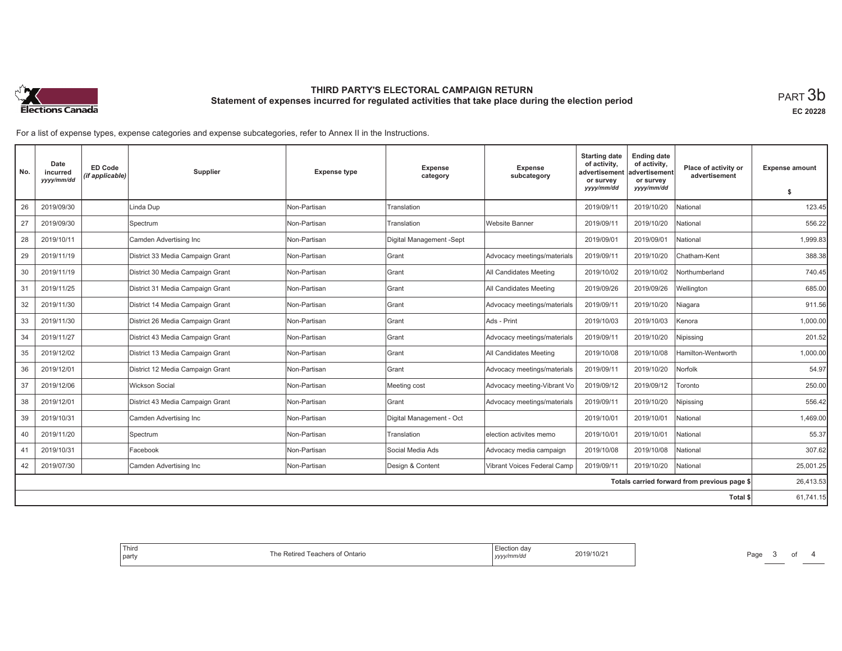

**EC 20228**

For a list of expense types, expense categories and expense subcategories, refer to Annex II in the Instructions.

| No. | Date<br>incurred<br>yyyy/mm/dd | <b>ED Code</b><br>(if applicable) | <b>Supplier</b>                  | <b>Expense type</b> | <b>Expense</b><br>category | <b>Expense</b><br>subcategory | <b>Starting date</b><br>of activity,<br>advertisement<br>or survey | <b>Ending date</b><br>of activity,<br>advertisement<br>or survey | Place of activity or<br>advertisement        | <b>Expense amount</b> |
|-----|--------------------------------|-----------------------------------|----------------------------------|---------------------|----------------------------|-------------------------------|--------------------------------------------------------------------|------------------------------------------------------------------|----------------------------------------------|-----------------------|
|     |                                |                                   |                                  |                     |                            |                               | yyyy/mm/dd                                                         | yyyy/mm/dd                                                       |                                              | \$                    |
| 26  | 2019/09/30                     |                                   | Linda Dup                        | Non-Partisan        | Translation                |                               | 2019/09/11                                                         | 2019/10/20                                                       | National                                     | 123.45                |
| 27  | 2019/09/30                     |                                   | Spectrum                         | Non-Partisan        | Translation                | <b>Website Banner</b>         | 2019/09/11                                                         | 2019/10/20                                                       | National                                     | 556.22                |
| 28  | 2019/10/11                     |                                   | Camden Advertising Inc           | Non-Partisan        | Digital Management -Sept   |                               | 2019/09/01                                                         | 2019/09/01                                                       | National                                     | 1,999.83              |
| 29  | 2019/11/19                     |                                   | District 33 Media Campaign Grant | Non-Partisan        | Grant                      | Advocacy meetings/materials   | 2019/09/11                                                         | 2019/10/20                                                       | Chatham-Kent                                 | 388.38                |
| 30  | 2019/11/19                     |                                   | District 30 Media Campaign Grant | Non-Partisan        | Grant                      | All Candidates Meeting        | 2019/10/02                                                         | 2019/10/02                                                       | Northumberland                               | 740.45                |
| 31  | 2019/11/25                     |                                   | District 31 Media Campaign Grant | Non-Partisan        | <b>IGrant</b>              | All Candidates Meeting        | 2019/09/26                                                         | 2019/09/26                                                       | Wellington                                   | 685.00                |
| 32  | 2019/11/30                     |                                   | District 14 Media Campaign Grant | Non-Partisan        | Grant                      | Advocacy meetings/materials   | 2019/09/11                                                         | 2019/10/20                                                       | Niagara                                      | 911.56                |
| 33  | 2019/11/30                     |                                   | District 26 Media Campaign Grant | Non-Partisan        | Grant                      | Ads - Print                   | 2019/10/03                                                         | 2019/10/03                                                       | Kenora                                       | 1,000.00              |
| 34  | 2019/11/27                     |                                   | District 43 Media Campaign Grant | Non-Partisan        | Grant                      | Advocacy meetings/materials   | 2019/09/11                                                         | 2019/10/20                                                       | Nipissing                                    | 201.52                |
| 35  | 2019/12/02                     |                                   | District 13 Media Campaign Grant | Non-Partisan        | <b>IGrant</b>              | All Candidates Meeting        | 2019/10/08                                                         | 2019/10/08                                                       | Hamilton-Wentworth                           | 1.000.00              |
| 36  | 2019/12/01                     |                                   | District 12 Media Campaign Grant | Non-Partisan        | Grant                      | Advocacy meetings/materials   | 2019/09/11                                                         | 2019/10/20                                                       | Norfolk                                      | 54.97                 |
| 37  | 2019/12/06                     |                                   | <b>Wickson Social</b>            | Non-Partisan        | Meeting cost               | Advocacy meeting-Vibrant Vo   | 2019/09/12                                                         | 2019/09/12                                                       | Foronto                                      | 250.00                |
| 38  | 2019/12/01                     |                                   | District 43 Media Campaign Grant | Non-Partisan        | Grant                      | Advocacy meetings/materials   | 2019/09/11                                                         | 2019/10/20                                                       | Nipissing                                    | 556.42                |
| 39  | 2019/10/31                     |                                   | Camden Advertising Inc           | Non-Partisan        | Digital Management - Oct   |                               | 2019/10/01                                                         | 2019/10/01                                                       | National                                     | 1,469.00              |
| 40  | 2019/11/20                     |                                   | Spectrum                         | Non-Partisan        | Translation                | election activites memo       | 2019/10/01                                                         | 2019/10/01                                                       | National                                     | 55.37                 |
| 41  | 2019/10/31                     |                                   | Facebook                         | Non-Partisan        | Social Media Ads           | Advocacy media campaign       | 2019/10/08                                                         | 2019/10/08                                                       | National                                     | 307.62                |
| 42  | 2019/07/30                     |                                   | Camden Advertising Inc           | Non-Partisan        | Design & Content           | Vibrant Voices Federal Camp   | 2019/09/11                                                         | 2019/10/20                                                       | National                                     | 25,001.25             |
|     |                                |                                   |                                  |                     |                            |                               |                                                                    |                                                                  | Totals carried forward from previous page \$ | 26,413.53             |
|     |                                |                                   |                                  |                     |                            |                               |                                                                    |                                                                  | Total \$                                     | 61,741.15             |

| da<br>2019/10/21<br>.<br>,,,, | l hird<br><b>h</b> e<br>Ontario<br>.etirer<br>'each<br>EI SUI<br>party |
|-------------------------------|------------------------------------------------------------------------|
|-------------------------------|------------------------------------------------------------------------|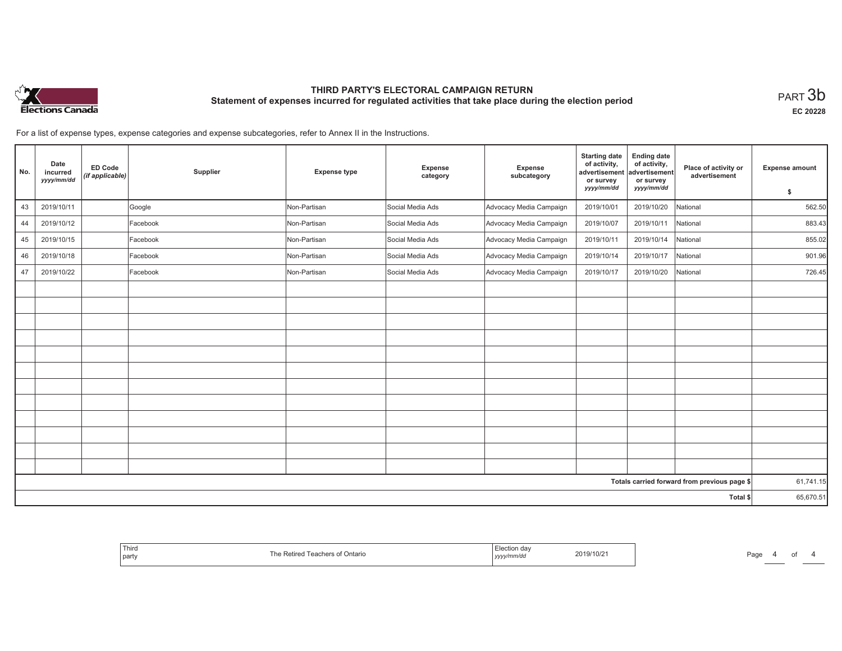

**EC 20228**

of  $4$ 

For a list of expense types, expense categories and expense subcategories, refer to Annex II in the Instructions.

| No. | Date<br>incurred<br>yyyy/mm/dd | ED Code<br>(if applicable) | Supplier | <b>Expense type</b> | Expense<br>category | Expense<br>subcategory  | <b>Starting date</b><br>of activity,<br>advertisement<br>or survey | <b>Ending date</b><br>of activity,<br>advertisement<br>or survey | Place of activity or<br>advertisement        | <b>Expense amount</b> |
|-----|--------------------------------|----------------------------|----------|---------------------|---------------------|-------------------------|--------------------------------------------------------------------|------------------------------------------------------------------|----------------------------------------------|-----------------------|
|     |                                |                            |          |                     |                     |                         | yyyy/mm/dd                                                         | yyyy/mm/dd                                                       |                                              | \$                    |
| 43  | 2019/10/11                     |                            | Google   | Non-Partisan        | Social Media Ads    | Advocacy Media Campaign | 2019/10/01                                                         | 2019/10/20                                                       | National                                     | 562.50                |
| 44  | 2019/10/12                     |                            | Facebook | Non-Partisan        | Social Media Ads    | Advocacy Media Campaign | 2019/10/07                                                         | 2019/10/11                                                       | National                                     | 883.43                |
| 45  | 2019/10/15                     |                            | Facebook | Non-Partisan        | Social Media Ads    | Advocacy Media Campaign | 2019/10/11                                                         | 2019/10/14                                                       | National                                     | 855.02                |
| 46  | 2019/10/18                     |                            | Facebook | Non-Partisan        | Social Media Ads    | Advocacy Media Campaign | 2019/10/14                                                         | 2019/10/17                                                       | National                                     | 901.96                |
| 47  | 2019/10/22                     |                            | Facebook | Non-Partisan        | Social Media Ads    | Advocacy Media Campaign | 2019/10/17                                                         | 2019/10/20                                                       | National                                     | 726.45                |
|     |                                |                            |          |                     |                     |                         |                                                                    |                                                                  |                                              |                       |
|     |                                |                            |          |                     |                     |                         |                                                                    |                                                                  |                                              |                       |
|     |                                |                            |          |                     |                     |                         |                                                                    |                                                                  |                                              |                       |
|     |                                |                            |          |                     |                     |                         |                                                                    |                                                                  |                                              |                       |
|     |                                |                            |          |                     |                     |                         |                                                                    |                                                                  |                                              |                       |
|     |                                |                            |          |                     |                     |                         |                                                                    |                                                                  |                                              |                       |
|     |                                |                            |          |                     |                     |                         |                                                                    |                                                                  |                                              |                       |
|     |                                |                            |          |                     |                     |                         |                                                                    |                                                                  |                                              |                       |
|     |                                |                            |          |                     |                     |                         |                                                                    |                                                                  |                                              |                       |
|     |                                |                            |          |                     |                     |                         |                                                                    |                                                                  |                                              |                       |
|     |                                |                            |          |                     |                     |                         |                                                                    |                                                                  |                                              |                       |
|     |                                |                            |          |                     |                     |                         |                                                                    |                                                                  |                                              |                       |
|     |                                |                            |          |                     |                     |                         |                                                                    |                                                                  | Totals carried forward from previous page \$ | 61,741.15             |
|     |                                |                            |          |                     |                     |                         |                                                                    |                                                                  | Total \$                                     | 65,670.51             |

| Third<br>party | UNIANO | . | 'au<br>__ |
|----------------|--------|---|-----------|
|----------------|--------|---|-----------|